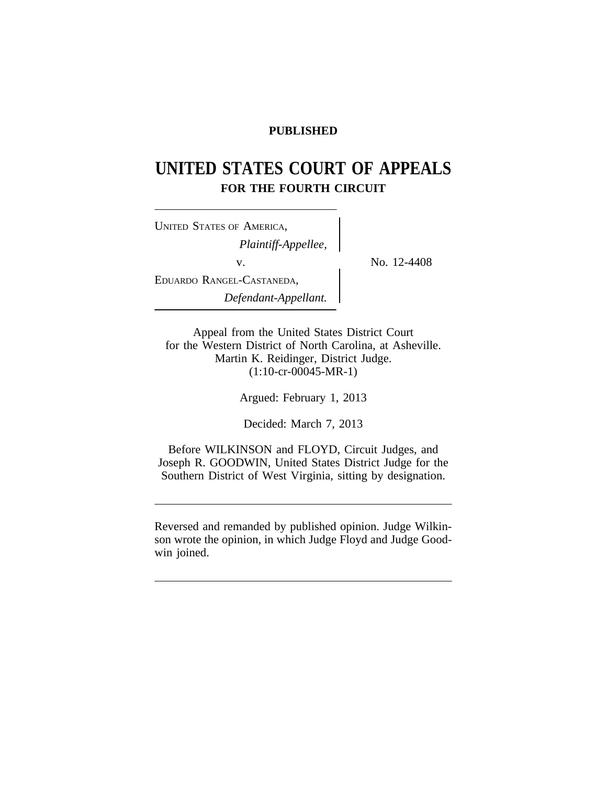# **PUBLISHED**

# **UNITED STATES COURT OF APPEALS FOR THE FOURTH CIRCUIT**

<sup>U</sup>NITED STATES OF AMERICA, *Plaintiff-Appellee,* v.  $\qquad \qquad \}$  No. 12-4408 EDUARDO RANGEL-CASTANEDA, *Defendant-Appellant.*

Appeal from the United States District Court for the Western District of North Carolina, at Asheville. Martin K. Reidinger, District Judge. (1:10-cr-00045-MR-1)

Argued: February 1, 2013

Decided: March 7, 2013

Before WILKINSON and FLOYD, Circuit Judges, and Joseph R. GOODWIN, United States District Judge for the Southern District of West Virginia, sitting by designation.

Reversed and remanded by published opinion. Judge Wilkinson wrote the opinion, in which Judge Floyd and Judge Goodwin joined.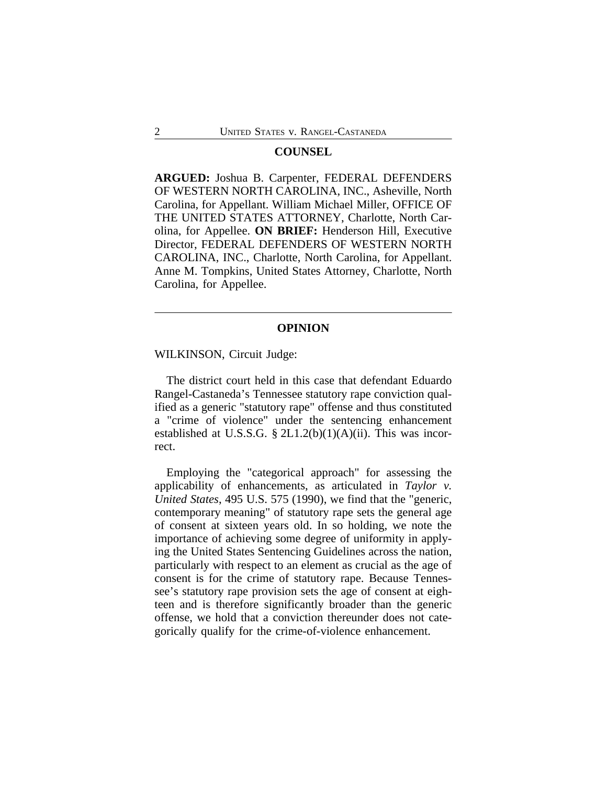#### **COUNSEL**

**ARGUED:** Joshua B. Carpenter, FEDERAL DEFENDERS OF WESTERN NORTH CAROLINA, INC., Asheville, North Carolina, for Appellant. William Michael Miller, OFFICE OF THE UNITED STATES ATTORNEY, Charlotte, North Carolina, for Appellee. **ON BRIEF:** Henderson Hill, Executive Director, FEDERAL DEFENDERS OF WESTERN NORTH CAROLINA, INC., Charlotte, North Carolina, for Appellant. Anne M. Tompkins, United States Attorney, Charlotte, North Carolina, for Appellee.

#### **OPINION**

WILKINSON, Circuit Judge:

The district court held in this case that defendant Eduardo Rangel-Castaneda's Tennessee statutory rape conviction qualified as a generic "statutory rape" offense and thus constituted a "crime of violence" under the sentencing enhancement established at U.S.S.G.  $\S 2L1.2(b)(1)(A)(ii)$ . This was incorrect.

Employing the "categorical approach" for assessing the applicability of enhancements, as articulated in *Taylor v. United States*, 495 U.S. 575 (1990), we find that the "generic, contemporary meaning" of statutory rape sets the general age of consent at sixteen years old. In so holding, we note the importance of achieving some degree of uniformity in applying the United States Sentencing Guidelines across the nation, particularly with respect to an element as crucial as the age of consent is for the crime of statutory rape. Because Tennessee's statutory rape provision sets the age of consent at eighteen and is therefore significantly broader than the generic offense, we hold that a conviction thereunder does not categorically qualify for the crime-of-violence enhancement.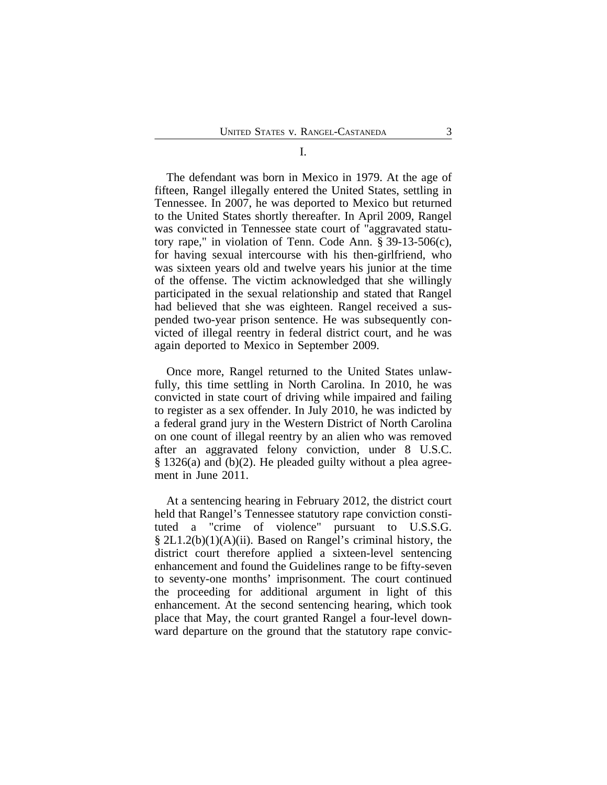#### I.

The defendant was born in Mexico in 1979. At the age of fifteen, Rangel illegally entered the United States, settling in Tennessee. In 2007, he was deported to Mexico but returned to the United States shortly thereafter. In April 2009, Rangel was convicted in Tennessee state court of "aggravated statutory rape," in violation of Tenn. Code Ann. § 39-13-506(c), for having sexual intercourse with his then-girlfriend, who was sixteen years old and twelve years his junior at the time of the offense. The victim acknowledged that she willingly participated in the sexual relationship and stated that Rangel had believed that she was eighteen. Rangel received a suspended two-year prison sentence. He was subsequently convicted of illegal reentry in federal district court, and he was again deported to Mexico in September 2009.

Once more, Rangel returned to the United States unlawfully, this time settling in North Carolina. In 2010, he was convicted in state court of driving while impaired and failing to register as a sex offender. In July 2010, he was indicted by a federal grand jury in the Western District of North Carolina on one count of illegal reentry by an alien who was removed after an aggravated felony conviction, under 8 U.S.C. § 1326(a) and (b)(2). He pleaded guilty without a plea agreement in June 2011.

At a sentencing hearing in February 2012, the district court held that Rangel's Tennessee statutory rape conviction constituted a "crime of violence" pursuant to U.S.S.G. § 2L1.2(b)(1)(A)(ii). Based on Rangel's criminal history, the district court therefore applied a sixteen-level sentencing enhancement and found the Guidelines range to be fifty-seven to seventy-one months' imprisonment. The court continued the proceeding for additional argument in light of this enhancement. At the second sentencing hearing, which took place that May, the court granted Rangel a four-level downward departure on the ground that the statutory rape convic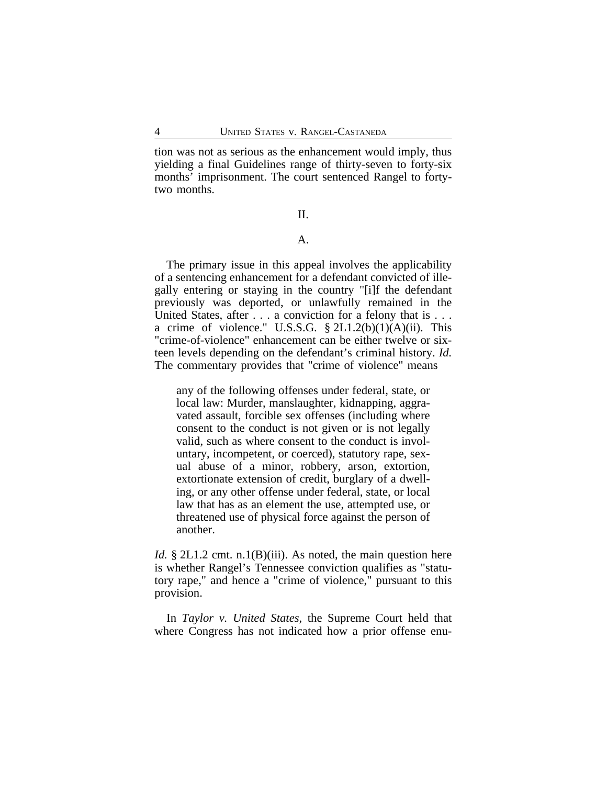tion was not as serious as the enhancement would imply, thus yielding a final Guidelines range of thirty-seven to forty-six months' imprisonment. The court sentenced Rangel to fortytwo months.

II.

# A.

The primary issue in this appeal involves the applicability of a sentencing enhancement for a defendant convicted of illegally entering or staying in the country "[i]f the defendant previously was deported, or unlawfully remained in the United States, after . . . a conviction for a felony that is . . . a crime of violence." U.S.S.G.  $\S 2L1.2(b)(1)(A)(ii)$ . This "crime-of-violence" enhancement can be either twelve or sixteen levels depending on the defendant's criminal history. *Id.* The commentary provides that "crime of violence" means

any of the following offenses under federal, state, or local law: Murder, manslaughter, kidnapping, aggravated assault, forcible sex offenses (including where consent to the conduct is not given or is not legally valid, such as where consent to the conduct is involuntary, incompetent, or coerced), statutory rape, sexual abuse of a minor, robbery, arson, extortion, extortionate extension of credit, burglary of a dwelling, or any other offense under federal, state, or local law that has as an element the use, attempted use, or threatened use of physical force against the person of another.

*Id.* § 2L1.2 cmt. n.1(B)(iii). As noted, the main question here is whether Rangel's Tennessee conviction qualifies as "statutory rape," and hence a "crime of violence," pursuant to this provision.

In *Taylor v. United States*, the Supreme Court held that where Congress has not indicated how a prior offense enu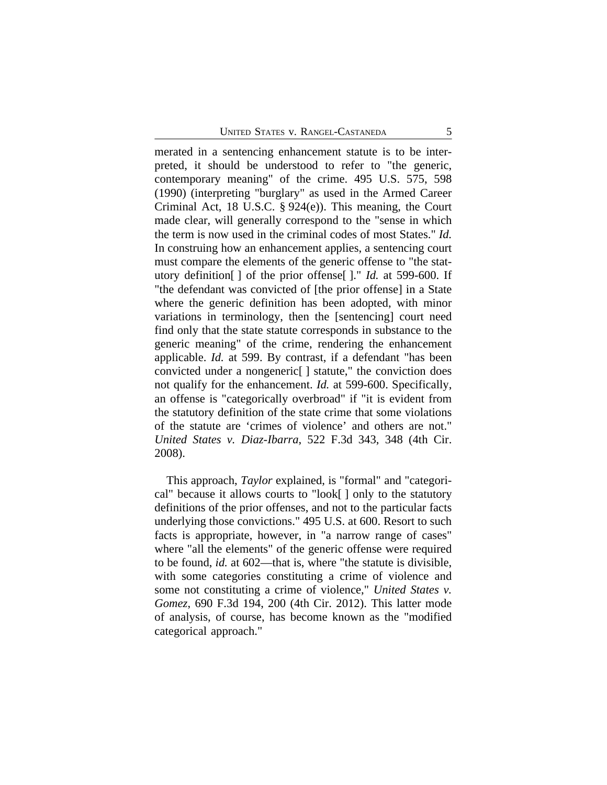merated in a sentencing enhancement statute is to be interpreted, it should be understood to refer to "the generic, contemporary meaning" of the crime. 495 U.S. 575, 598 (1990) (interpreting "burglary" as used in the Armed Career Criminal Act, 18 U.S.C. § 924(e)). This meaning, the Court made clear, will generally correspond to the "sense in which the term is now used in the criminal codes of most States." *Id.* In construing how an enhancement applies, a sentencing court must compare the elements of the generic offense to "the statutory definition[ ] of the prior offense[ ]." *Id.* at 599-600. If "the defendant was convicted of [the prior offense] in a State where the generic definition has been adopted, with minor variations in terminology, then the [sentencing] court need find only that the state statute corresponds in substance to the generic meaning" of the crime, rendering the enhancement applicable. *Id.* at 599. By contrast, if a defendant "has been convicted under a nongeneric[ ] statute," the conviction does not qualify for the enhancement. *Id.* at 599-600. Specifically, an offense is "categorically overbroad" if "it is evident from the statutory definition of the state crime that some violations of the statute are 'crimes of violence' and others are not." *United States v. Diaz-Ibarra*, 522 F.3d 343, 348 (4th Cir. 2008).

This approach, *Taylor* explained, is "formal" and "categorical" because it allows courts to "look[ ] only to the statutory definitions of the prior offenses, and not to the particular facts underlying those convictions." 495 U.S. at 600. Resort to such facts is appropriate, however, in "a narrow range of cases" where "all the elements" of the generic offense were required to be found, *id.* at 602—that is, where "the statute is divisible, with some categories constituting a crime of violence and some not constituting a crime of violence," *United States v. Gomez*, 690 F.3d 194, 200 (4th Cir. 2012). This latter mode of analysis, of course, has become known as the "modified categorical approach."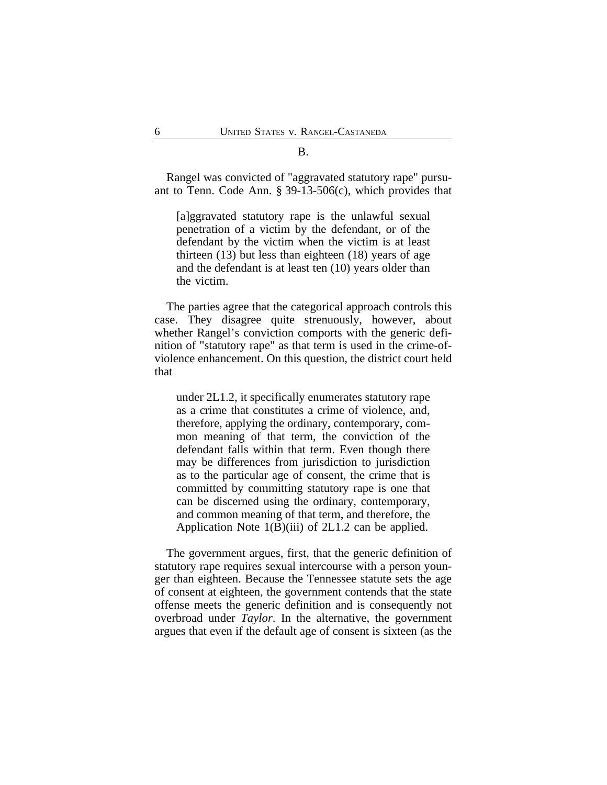B.

Rangel was convicted of "aggravated statutory rape" pursuant to Tenn. Code Ann. § 39-13-506(c), which provides that

[a]ggravated statutory rape is the unlawful sexual penetration of a victim by the defendant, or of the defendant by the victim when the victim is at least thirteen (13) but less than eighteen (18) years of age and the defendant is at least ten (10) years older than the victim.

The parties agree that the categorical approach controls this case. They disagree quite strenuously, however, about whether Rangel's conviction comports with the generic definition of "statutory rape" as that term is used in the crime-ofviolence enhancement. On this question, the district court held that

under 2L1.2, it specifically enumerates statutory rape as a crime that constitutes a crime of violence, and, therefore, applying the ordinary, contemporary, common meaning of that term, the conviction of the defendant falls within that term. Even though there may be differences from jurisdiction to jurisdiction as to the particular age of consent, the crime that is committed by committing statutory rape is one that can be discerned using the ordinary, contemporary, and common meaning of that term, and therefore, the Application Note 1(B)(iii) of 2L1.2 can be applied.

The government argues, first, that the generic definition of statutory rape requires sexual intercourse with a person younger than eighteen. Because the Tennessee statute sets the age of consent at eighteen, the government contends that the state offense meets the generic definition and is consequently not overbroad under *Taylor*. In the alternative, the government argues that even if the default age of consent is sixteen (as the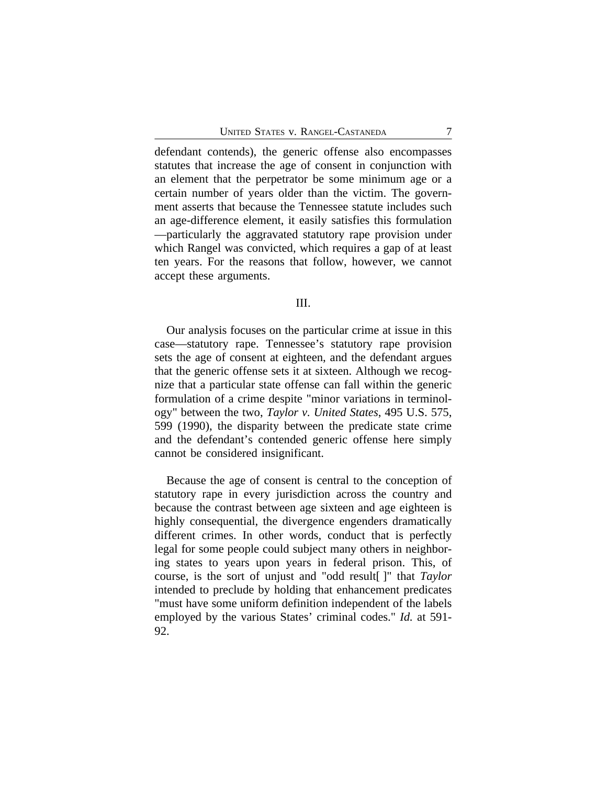defendant contends), the generic offense also encompasses statutes that increase the age of consent in conjunction with an element that the perpetrator be some minimum age or a certain number of years older than the victim. The government asserts that because the Tennessee statute includes such an age-difference element, it easily satisfies this formulation —particularly the aggravated statutory rape provision under which Rangel was convicted, which requires a gap of at least ten years. For the reasons that follow, however, we cannot accept these arguments.

### III.

Our analysis focuses on the particular crime at issue in this case—statutory rape. Tennessee's statutory rape provision sets the age of consent at eighteen, and the defendant argues that the generic offense sets it at sixteen. Although we recognize that a particular state offense can fall within the generic formulation of a crime despite "minor variations in terminology" between the two, *Taylor v. United States*, 495 U.S. 575, 599 (1990), the disparity between the predicate state crime and the defendant's contended generic offense here simply cannot be considered insignificant.

Because the age of consent is central to the conception of statutory rape in every jurisdiction across the country and because the contrast between age sixteen and age eighteen is highly consequential, the divergence engenders dramatically different crimes. In other words, conduct that is perfectly legal for some people could subject many others in neighboring states to years upon years in federal prison. This, of course, is the sort of unjust and "odd result[ ]" that *Taylor* intended to preclude by holding that enhancement predicates "must have some uniform definition independent of the labels employed by the various States' criminal codes." *Id.* at 591- 92.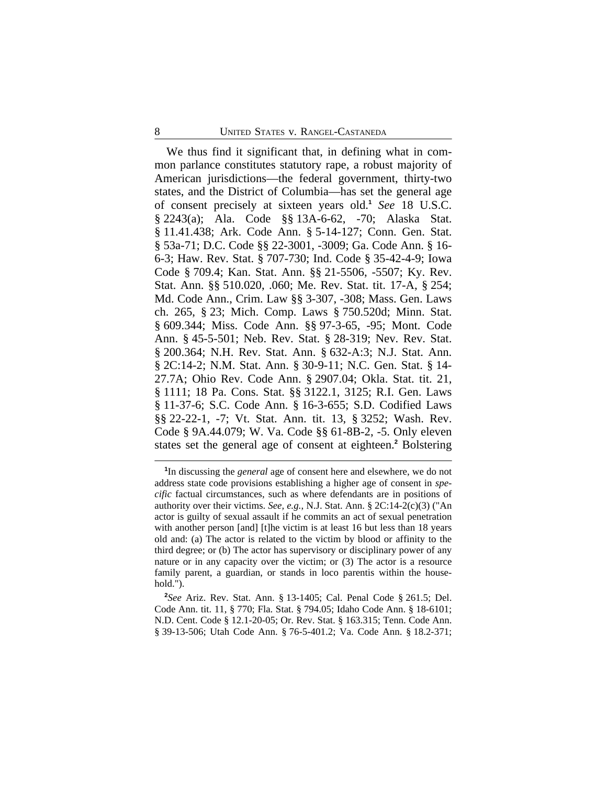We thus find it significant that, in defining what in common parlance constitutes statutory rape, a robust majority of American jurisdictions—the federal government, thirty-two states, and the District of Columbia—has set the general age of consent precisely at sixteen years old.**<sup>1</sup>** *See* 18 U.S.C. § 2243(a); Ala. Code §§ 13A-6-62, -70; Alaska Stat. § 11.41.438; Ark. Code Ann. § 5-14-127; Conn. Gen. Stat. § 53a-71; D.C. Code §§ 22-3001, -3009; Ga. Code Ann. § 16- 6-3; Haw. Rev. Stat. § 707-730; Ind. Code § 35-42-4-9; Iowa Code § 709.4; Kan. Stat. Ann. §§ 21-5506, -5507; Ky. Rev. Stat. Ann. §§ 510.020, .060; Me. Rev. Stat. tit. 17-A, § 254; Md. Code Ann., Crim. Law §§ 3-307, -308; Mass. Gen. Laws ch. 265, § 23; Mich. Comp. Laws § 750.520d; Minn. Stat. § 609.344; Miss. Code Ann. §§ 97-3-65, -95; Mont. Code Ann. § 45-5-501; Neb. Rev. Stat. § 28-319; Nev. Rev. Stat. § 200.364; N.H. Rev. Stat. Ann. § 632-A:3; N.J. Stat. Ann. § 2C:14-2; N.M. Stat. Ann. § 30-9-11; N.C. Gen. Stat. § 14- 27.7A; Ohio Rev. Code Ann. § 2907.04; Okla. Stat. tit. 21, § 1111; 18 Pa. Cons. Stat. §§ 3122.1, 3125; R.I. Gen. Laws § 11-37-6; S.C. Code Ann. § 16-3-655; S.D. Codified Laws §§ 22-22-1, -7; Vt. Stat. Ann. tit. 13, § 3252; Wash. Rev. Code § 9A.44.079; W. Va. Code §§ 61-8B-2, -5. Only eleven states set the general age of consent at eighteen.**<sup>2</sup>** Bolstering

**<sup>1</sup>** In discussing the *general* age of consent here and elsewhere, we do not address state code provisions establishing a higher age of consent in *specific* factual circumstances, such as where defendants are in positions of authority over their victims. *See, e.g.*, N.J. Stat. Ann. § 2C:14-2(c)(3) ("An actor is guilty of sexual assault if he commits an act of sexual penetration with another person [and] [t]he victim is at least 16 but less than 18 years old and: (a) The actor is related to the victim by blood or affinity to the third degree; or (b) The actor has supervisory or disciplinary power of any nature or in any capacity over the victim; or (3) The actor is a resource family parent, a guardian, or stands in loco parentis within the household.").

**<sup>2</sup>** *See* Ariz. Rev. Stat. Ann. § 13-1405; Cal. Penal Code § 261.5; Del. Code Ann. tit. 11, § 770; Fla. Stat. § 794.05; Idaho Code Ann. § 18-6101; N.D. Cent. Code § 12.1-20-05; Or. Rev. Stat. § 163.315; Tenn. Code Ann. § 39-13-506; Utah Code Ann. § 76-5-401.2; Va. Code Ann. § 18.2-371;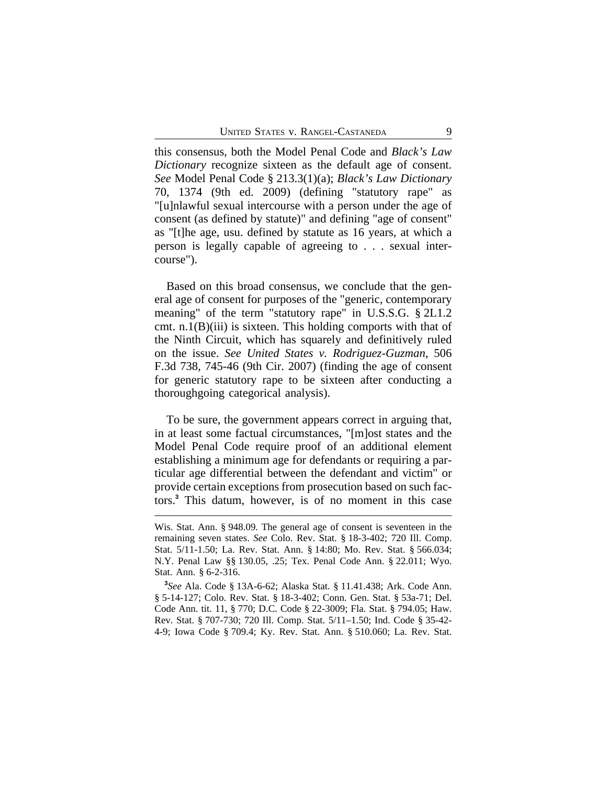this consensus, both the Model Penal Code and *Black's Law Dictionary* recognize sixteen as the default age of consent. *See* Model Penal Code § 213.3(1)(a); *Black's Law Dictionary* 70, 1374 (9th ed. 2009) (defining "statutory rape" as "[u]nlawful sexual intercourse with a person under the age of consent (as defined by statute)" and defining "age of consent" as "[t]he age, usu. defined by statute as 16 years, at which a person is legally capable of agreeing to . . . sexual intercourse").

Based on this broad consensus, we conclude that the general age of consent for purposes of the "generic, contemporary meaning" of the term "statutory rape" in U.S.S.G. § 2L1.2 cmt. n.1(B)(iii) is sixteen. This holding comports with that of the Ninth Circuit, which has squarely and definitively ruled on the issue. *See United States v. Rodriguez-Guzman*, 506 F.3d 738, 745-46 (9th Cir. 2007) (finding the age of consent for generic statutory rape to be sixteen after conducting a thoroughgoing categorical analysis).

To be sure, the government appears correct in arguing that, in at least some factual circumstances, "[m]ost states and the Model Penal Code require proof of an additional element establishing a minimum age for defendants or requiring a particular age differential between the defendant and victim" or provide certain exceptions from prosecution based on such factors.**<sup>3</sup>** This datum, however, is of no moment in this case

Wis. Stat. Ann. § 948.09. The general age of consent is seventeen in the remaining seven states. *See* Colo. Rev. Stat. § 18-3-402; 720 Ill. Comp. Stat. 5/11-1.50; La. Rev. Stat. Ann. § 14:80; Mo. Rev. Stat. § 566.034; N.Y. Penal Law §§ 130.05, .25; Tex. Penal Code Ann. § 22.011; Wyo. Stat. Ann. § 6-2-316.

**<sup>3</sup>** *See* Ala. Code § 13A-6-62; Alaska Stat. § 11.41.438; Ark. Code Ann. § 5-14-127; Colo. Rev. Stat. § 18-3-402; Conn. Gen. Stat. § 53a-71; Del. Code Ann. tit. 11, § 770; D.C. Code § 22-3009; Fla. Stat. § 794.05; Haw. Rev. Stat. § 707-730; 720 Ill. Comp. Stat. 5/11–1.50; Ind. Code § 35-42- 4-9; Iowa Code § 709.4; Ky. Rev. Stat. Ann. § 510.060; La. Rev. Stat.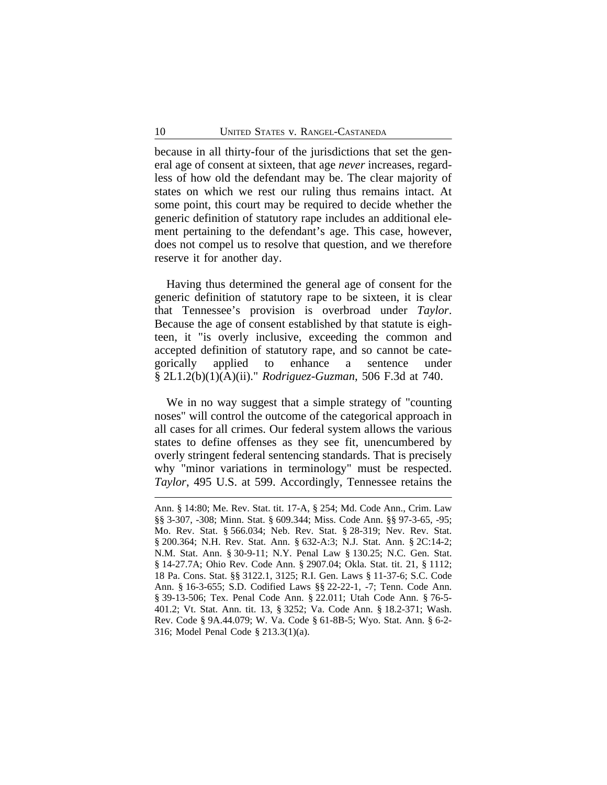because in all thirty-four of the jurisdictions that set the general age of consent at sixteen, that age *never* increases, regardless of how old the defendant may be. The clear majority of states on which we rest our ruling thus remains intact. At some point, this court may be required to decide whether the generic definition of statutory rape includes an additional element pertaining to the defendant's age. This case, however, does not compel us to resolve that question, and we therefore reserve it for another day.

Having thus determined the general age of consent for the generic definition of statutory rape to be sixteen, it is clear that Tennessee's provision is overbroad under *Taylor*. Because the age of consent established by that statute is eighteen, it "is overly inclusive, exceeding the common and accepted definition of statutory rape, and so cannot be categorically applied to enhance a sentence under § 2L1.2(b)(1)(A)(ii)." *Rodriguez-Guzman*, 506 F.3d at 740.

We in no way suggest that a simple strategy of "counting noses" will control the outcome of the categorical approach in all cases for all crimes. Our federal system allows the various states to define offenses as they see fit, unencumbered by overly stringent federal sentencing standards. That is precisely why "minor variations in terminology" must be respected. *Taylor*, 495 U.S. at 599. Accordingly, Tennessee retains the

Ann. § 14:80; Me. Rev. Stat. tit. 17-A, § 254; Md. Code Ann., Crim. Law §§ 3-307, -308; Minn. Stat. § 609.344; Miss. Code Ann. §§ 97-3-65, -95; Mo. Rev. Stat. § 566.034; Neb. Rev. Stat. § 28-319; Nev. Rev. Stat. § 200.364; N.H. Rev. Stat. Ann. § 632-A:3; N.J. Stat. Ann. § 2C:14-2; N.M. Stat. Ann. § 30-9-11; N.Y. Penal Law § 130.25; N.C. Gen. Stat. § 14-27.7A; Ohio Rev. Code Ann. § 2907.04; Okla. Stat. tit. 21, § 1112; 18 Pa. Cons. Stat. §§ 3122.1, 3125; R.I. Gen. Laws § 11-37-6; S.C. Code Ann. § 16-3-655; S.D. Codified Laws §§ 22-22-1, -7; Tenn. Code Ann. § 39-13-506; Tex. Penal Code Ann. § 22.011; Utah Code Ann. § 76-5- 401.2; Vt. Stat. Ann. tit. 13, § 3252; Va. Code Ann. § 18.2-371; Wash. Rev. Code § 9A.44.079; W. Va. Code § 61-8B-5; Wyo. Stat. Ann. § 6-2- 316; Model Penal Code § 213.3(1)(a).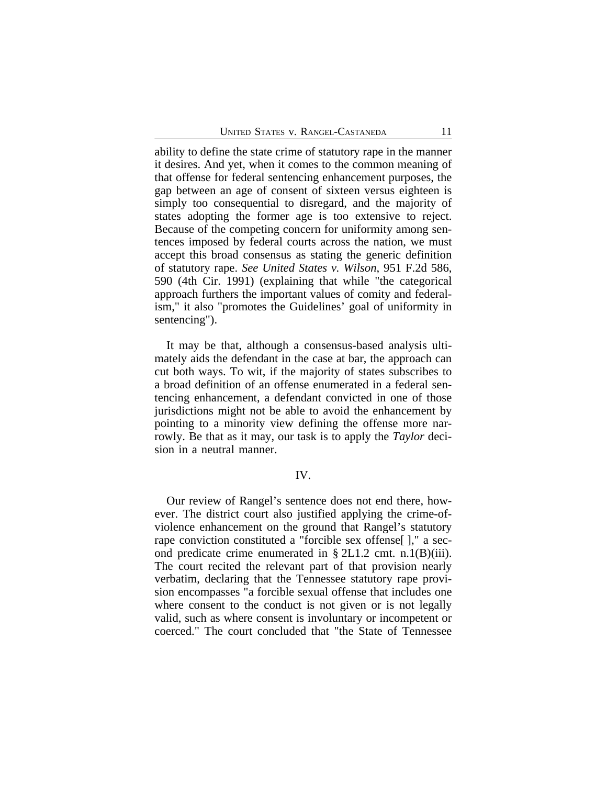ability to define the state crime of statutory rape in the manner it desires. And yet, when it comes to the common meaning of that offense for federal sentencing enhancement purposes, the gap between an age of consent of sixteen versus eighteen is simply too consequential to disregard, and the majority of states adopting the former age is too extensive to reject. Because of the competing concern for uniformity among sentences imposed by federal courts across the nation, we must accept this broad consensus as stating the generic definition of statutory rape. *See United States v. Wilson*, 951 F.2d 586, 590 (4th Cir. 1991) (explaining that while "the categorical approach furthers the important values of comity and federalism," it also "promotes the Guidelines' goal of uniformity in sentencing").

It may be that, although a consensus-based analysis ultimately aids the defendant in the case at bar, the approach can cut both ways. To wit, if the majority of states subscribes to a broad definition of an offense enumerated in a federal sentencing enhancement, a defendant convicted in one of those jurisdictions might not be able to avoid the enhancement by pointing to a minority view defining the offense more narrowly. Be that as it may, our task is to apply the *Taylor* decision in a neutral manner.

#### IV.

Our review of Rangel's sentence does not end there, however. The district court also justified applying the crime-ofviolence enhancement on the ground that Rangel's statutory rape conviction constituted a "forcible sex offense[ ]," a second predicate crime enumerated in § 2L1.2 cmt. n.1(B)(iii). The court recited the relevant part of that provision nearly verbatim, declaring that the Tennessee statutory rape provision encompasses "a forcible sexual offense that includes one where consent to the conduct is not given or is not legally valid, such as where consent is involuntary or incompetent or coerced." The court concluded that "the State of Tennessee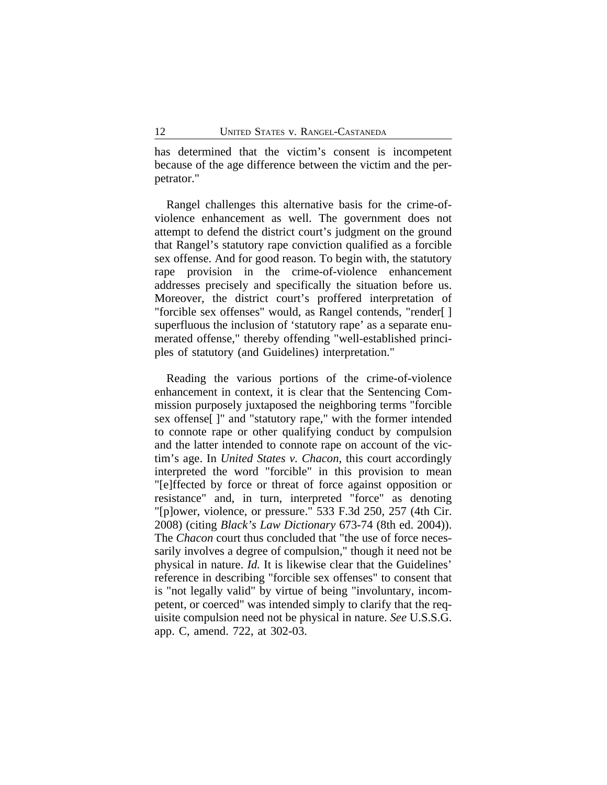has determined that the victim's consent is incompetent because of the age difference between the victim and the perpetrator."

Rangel challenges this alternative basis for the crime-ofviolence enhancement as well. The government does not attempt to defend the district court's judgment on the ground that Rangel's statutory rape conviction qualified as a forcible sex offense. And for good reason. To begin with, the statutory rape provision in the crime-of-violence enhancement addresses precisely and specifically the situation before us. Moreover, the district court's proffered interpretation of "forcible sex offenses" would, as Rangel contends, "render[ ] superfluous the inclusion of 'statutory rape' as a separate enumerated offense," thereby offending "well-established principles of statutory (and Guidelines) interpretation."

Reading the various portions of the crime-of-violence enhancement in context, it is clear that the Sentencing Commission purposely juxtaposed the neighboring terms "forcible sex offense[ ]" and "statutory rape," with the former intended to connote rape or other qualifying conduct by compulsion and the latter intended to connote rape on account of the victim's age. In *United States v. Chacon*, this court accordingly interpreted the word "forcible" in this provision to mean "[e]ffected by force or threat of force against opposition or resistance" and, in turn, interpreted "force" as denoting "[p]ower, violence, or pressure." 533 F.3d 250, 257 (4th Cir. 2008) (citing *Black's Law Dictionary* 673-74 (8th ed. 2004)). The *Chacon* court thus concluded that "the use of force necessarily involves a degree of compulsion," though it need not be physical in nature. *Id.* It is likewise clear that the Guidelines' reference in describing "forcible sex offenses" to consent that is "not legally valid" by virtue of being "involuntary, incompetent, or coerced" was intended simply to clarify that the requisite compulsion need not be physical in nature. *See* U.S.S.G. app. C, amend. 722, at 302-03.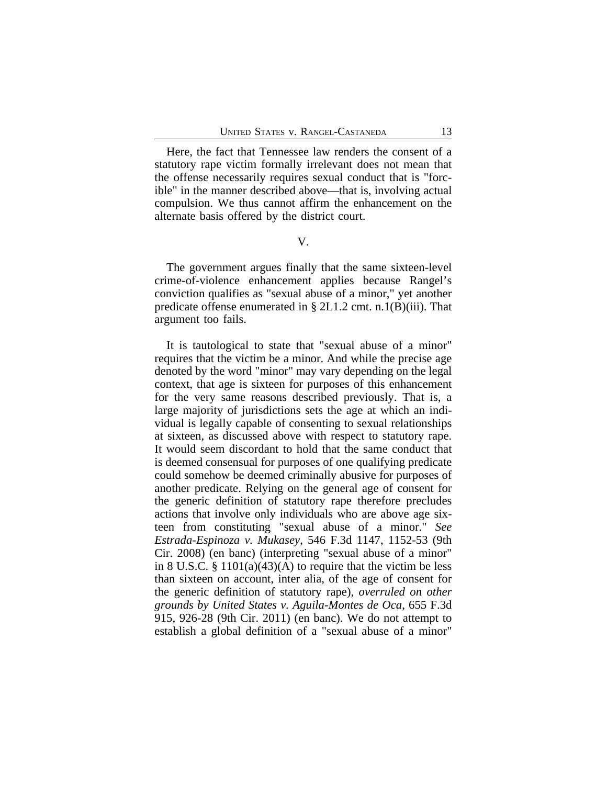Here, the fact that Tennessee law renders the consent of a statutory rape victim formally irrelevant does not mean that the offense necessarily requires sexual conduct that is "forcible" in the manner described above—that is, involving actual compulsion. We thus cannot affirm the enhancement on the alternate basis offered by the district court.

V.

The government argues finally that the same sixteen-level crime-of-violence enhancement applies because Rangel's conviction qualifies as "sexual abuse of a minor," yet another predicate offense enumerated in § 2L1.2 cmt. n.1(B)(iii). That argument too fails.

It is tautological to state that "sexual abuse of a minor" requires that the victim be a minor. And while the precise age denoted by the word "minor" may vary depending on the legal context, that age is sixteen for purposes of this enhancement for the very same reasons described previously. That is, a large majority of jurisdictions sets the age at which an individual is legally capable of consenting to sexual relationships at sixteen, as discussed above with respect to statutory rape. It would seem discordant to hold that the same conduct that is deemed consensual for purposes of one qualifying predicate could somehow be deemed criminally abusive for purposes of another predicate. Relying on the general age of consent for the generic definition of statutory rape therefore precludes actions that involve only individuals who are above age sixteen from constituting "sexual abuse of a minor." *See Estrada-Espinoza v. Mukasey*, 546 F.3d 1147, 1152-53 (9th Cir. 2008) (en banc) (interpreting "sexual abuse of a minor" in 8 U.S.C.  $\S 1101(a)(43)(A)$  to require that the victim be less than sixteen on account, inter alia, of the age of consent for the generic definition of statutory rape), *overruled on other grounds by United States v. Aguila-Montes de Oca*, 655 F.3d 915, 926-28 (9th Cir. 2011) (en banc). We do not attempt to establish a global definition of a "sexual abuse of a minor"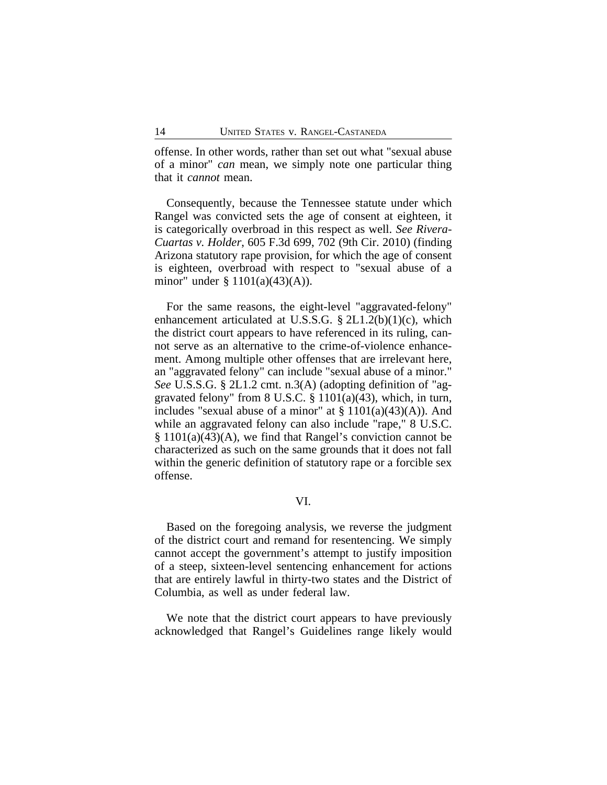offense. In other words, rather than set out what "sexual abuse of a minor" *can* mean, we simply note one particular thing that it *cannot* mean.

Consequently, because the Tennessee statute under which Rangel was convicted sets the age of consent at eighteen, it is categorically overbroad in this respect as well. *See Rivera-Cuartas v. Holder*, 605 F.3d 699, 702 (9th Cir. 2010) (finding Arizona statutory rape provision, for which the age of consent is eighteen, overbroad with respect to "sexual abuse of a minor" under § 1101(a)(43)(A)).

For the same reasons, the eight-level "aggravated-felony" enhancement articulated at U.S.S.G. § 2L1.2(b)(1)(c), which the district court appears to have referenced in its ruling, cannot serve as an alternative to the crime-of-violence enhancement. Among multiple other offenses that are irrelevant here, an "aggravated felony" can include "sexual abuse of a minor." *See* U.S.S.G. § 2L1.2 cmt. n.3(A) (adopting definition of "aggravated felony" from 8 U.S.C. § 1101(a)(43), which, in turn, includes "sexual abuse of a minor" at  $\S 1101(a)(43)(A)$ ). And while an aggravated felony can also include "rape," 8 U.S.C. § 1101(a)(43)(A), we find that Rangel's conviction cannot be characterized as such on the same grounds that it does not fall within the generic definition of statutory rape or a forcible sex offense.

# VI.

Based on the foregoing analysis, we reverse the judgment of the district court and remand for resentencing. We simply cannot accept the government's attempt to justify imposition of a steep, sixteen-level sentencing enhancement for actions that are entirely lawful in thirty-two states and the District of Columbia, as well as under federal law.

We note that the district court appears to have previously acknowledged that Rangel's Guidelines range likely would